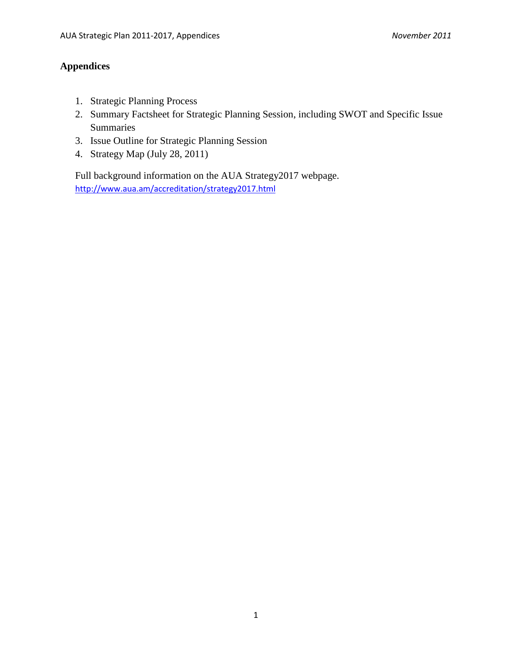# **Appendices**

- 1. Strategic Planning Process
- 2. Summary Factsheet for Strategic Planning Session, including SWOT and Specific Issue Summaries
- 3. Issue Outline for Strategic Planning Session
- 4. Strategy Map (July 28, 2011)

Full background information on the AUA Strategy2017 webpage. <http://www.aua.am/accreditation/strategy2017.html>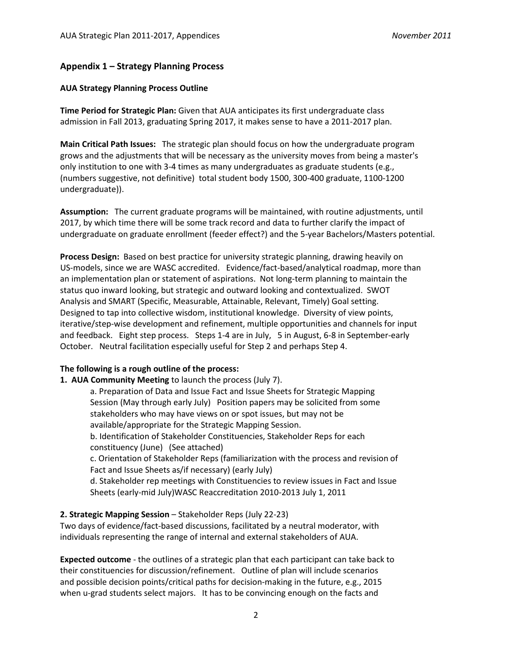### **Appendix 1 – Strategy Planning Process**

#### **AUA Strategy Planning Process Outline**

**Time Period for Strategic Plan:** Given that AUA anticipates its first undergraduate class admission in Fall 2013, graduating Spring 2017, it makes sense to have a 2011-2017 plan.

**Main Critical Path Issues:** The strategic plan should focus on how the undergraduate program grows and the adjustments that will be necessary as the university moves from being a master's only institution to one with 3-4 times as many undergraduates as graduate students (e.g., (numbers suggestive, not definitive) total student body 1500, 300-400 graduate, 1100-1200 undergraduate)).

**Assumption:** The current graduate programs will be maintained, with routine adjustments, until 2017, by which time there will be some track record and data to further clarify the impact of undergraduate on graduate enrollment (feeder effect?) and the 5-year Bachelors/Masters potential.

**Process Design:** Based on best practice for university strategic planning, drawing heavily on US-models, since we are WASC accredited. Evidence/fact-based/analytical roadmap, more than an implementation plan or statement of aspirations. Not long-term planning to maintain the status quo inward looking, but strategic and outward looking and contextualized. SWOT Analysis and SMART (Specific, Measurable, Attainable, Relevant, Timely) Goal setting. Designed to tap into collective wisdom, institutional knowledge. Diversity of view points, iterative/step-wise development and refinement, multiple opportunities and channels for input and feedback. Eight step process. Steps 1-4 are in July, 5 in August, 6-8 in September-early October. Neutral facilitation especially useful for Step 2 and perhaps Step 4.

#### **The following is a rough outline of the process:**

**1. AUA Community Meeting** to launch the process (July 7).

a. Preparation of Data and Issue Fact and Issue Sheets for Strategic Mapping Session (May through early July) Position papers may be solicited from some stakeholders who may have views on or spot issues, but may not be available/appropriate for the Strategic Mapping Session.

b. Identification of Stakeholder Constituencies, Stakeholder Reps for each constituency (June) (See attached)

c. Orientation of Stakeholder Reps (familiarization with the process and revision of Fact and Issue Sheets as/if necessary) (early July)

d. Stakeholder rep meetings with Constituencies to review issues in Fact and Issue Sheets (early-mid July)WASC Reaccreditation 2010-2013 July 1, 2011

### **2. Strategic Mapping Session** – Stakeholder Reps (July 22-23)

Two days of evidence/fact-based discussions, facilitated by a neutral moderator, with individuals representing the range of internal and external stakeholders of AUA.

**Expected outcome** - the outlines of a strategic plan that each participant can take back to their constituencies for discussion/refinement. Outline of plan will include scenarios and possible decision points/critical paths for decision-making in the future, e.g., 2015 when u-grad students select majors. It has to be convincing enough on the facts and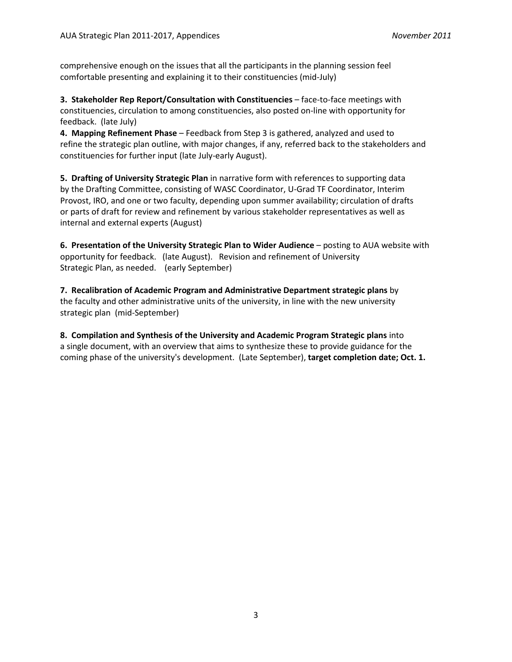comprehensive enough on the issues that all the participants in the planning session feel comfortable presenting and explaining it to their constituencies (mid-July)

**3. Stakeholder Rep Report/Consultation with Constituencies** – face-to-face meetings with constituencies, circulation to among constituencies, also posted on-line with opportunity for feedback. (late July)

**4. Mapping Refinement Phase** – Feedback from Step 3 is gathered, analyzed and used to refine the strategic plan outline, with major changes, if any, referred back to the stakeholders and constituencies for further input (late July-early August).

**5. Drafting of University Strategic Plan** in narrative form with references to supporting data by the Drafting Committee, consisting of WASC Coordinator, U-Grad TF Coordinator, Interim Provost, IRO, and one or two faculty, depending upon summer availability; circulation of drafts or parts of draft for review and refinement by various stakeholder representatives as well as internal and external experts (August)

**6. Presentation of the University Strategic Plan to Wider Audience** – posting to AUA website with opportunity for feedback. (late August). Revision and refinement of University Strategic Plan, as needed. (early September)

**7. Recalibration of Academic Program and Administrative Department strategic plans** by the faculty and other administrative units of the university, in line with the new university strategic plan (mid-September)

**8. Compilation and Synthesis of the University and Academic Program Strategic plans** into a single document, with an overview that aims to synthesize these to provide guidance for the coming phase of the university's development. (Late September), **target completion date; Oct. 1.**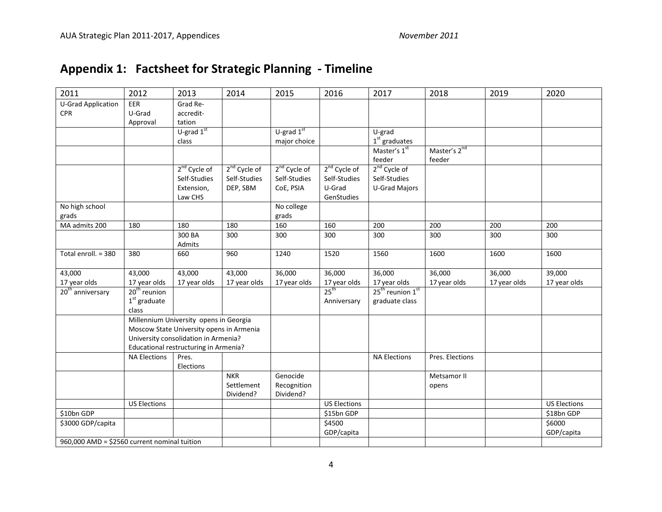# **Appendix 1: Factsheet for Strategic Planning - Timeline**

| 2011                                         | 2012                                     | 2013                                   | 2014                     | 2015                     | 2016                     | 2017                                     | 2018                     | 2019         | 2020                |
|----------------------------------------------|------------------------------------------|----------------------------------------|--------------------------|--------------------------|--------------------------|------------------------------------------|--------------------------|--------------|---------------------|
| <b>U-Grad Application</b>                    | EER                                      | Grad Re-                               |                          |                          |                          |                                          |                          |              |                     |
| <b>CPR</b>                                   | U-Grad                                   | accredit-                              |                          |                          |                          |                                          |                          |              |                     |
|                                              | Approval                                 | tation<br>U-grad $1st$                 |                          | $U$ -grad $1st$          |                          | U-grad                                   |                          |              |                     |
|                                              |                                          | class                                  |                          | major choice             |                          | $1st$ graduates                          |                          |              |                     |
|                                              |                                          |                                        |                          |                          |                          | Master's 1st                             | Master's 2 <sup>nd</sup> |              |                     |
|                                              |                                          |                                        |                          |                          |                          | feeder                                   | feeder                   |              |                     |
|                                              |                                          | 2 <sup>nd</sup> Cycle of               | 2 <sup>nd</sup> Cycle of | 2 <sup>nd</sup> Cycle of | 2 <sup>nd</sup> Cycle of | 2 <sup>nd</sup> Cycle of                 |                          |              |                     |
|                                              |                                          | Self-Studies                           | Self-Studies             | Self-Studies             | Self-Studies             | Self-Studies                             |                          |              |                     |
|                                              |                                          | Extension,                             | DEP, SBM                 | CoE, PSIA                | U-Grad                   | <b>U-Grad Majors</b>                     |                          |              |                     |
|                                              |                                          | Law CHS                                |                          |                          | GenStudies               |                                          |                          |              |                     |
| No high school                               |                                          |                                        |                          | No college               |                          |                                          |                          |              |                     |
| grads                                        |                                          |                                        |                          | grads                    |                          |                                          |                          |              |                     |
| MA admits 200                                | 180                                      | 180                                    | 180                      | 160                      | 160                      | 200                                      | 200                      | 200          | 200                 |
|                                              |                                          | 300 BA                                 | 300                      | 300                      | 300                      | 300                                      | 300                      | 300          | 300                 |
|                                              |                                          | Admits                                 |                          |                          |                          |                                          |                          |              |                     |
| Total enroll. = 380                          | 380                                      | 660                                    | 960                      | 1240                     | 1520                     | 1560                                     | 1600                     | 1600         | 1600                |
| 43,000                                       | 43,000                                   | 43,000                                 | 43,000                   | 36,000                   | 36,000                   | 36,000                                   | 36,000                   | 36,000       | 39,000              |
| 17 year olds                                 | 17 year olds                             | 17 year olds                           | 17 year olds             | 17 year olds             | 17 year olds             | 17 year olds                             | 17 year olds             | 17 year olds | 17 year olds        |
| 20 <sup>th</sup> anniversary                 | $20th$ reunion                           |                                        |                          |                          | $25^{\text{th}}$         | 25 <sup>th</sup> reunion 1 <sup>st</sup> |                          |              |                     |
|                                              | $\boldsymbol{1}^{\text{st}}$ graduate    |                                        |                          |                          | Anniversary              | graduate class                           |                          |              |                     |
|                                              | class                                    |                                        |                          |                          |                          |                                          |                          |              |                     |
|                                              |                                          | Millennium University opens in Georgia |                          |                          |                          |                                          |                          |              |                     |
|                                              | Moscow State University opens in Armenia |                                        |                          |                          |                          |                                          |                          |              |                     |
|                                              | University consolidation in Armenia?     |                                        |                          |                          |                          |                                          |                          |              |                     |
|                                              | Educational restructuring in Armenia?    |                                        |                          |                          |                          |                                          |                          |              |                     |
|                                              | <b>NA Elections</b>                      | Pres.                                  |                          |                          |                          | <b>NA Elections</b>                      | Pres. Elections          |              |                     |
|                                              |                                          | Elections                              | <b>NKR</b>               | Genocide                 |                          |                                          |                          |              |                     |
|                                              |                                          |                                        |                          |                          |                          |                                          | Metsamor II              |              |                     |
|                                              |                                          |                                        | Settlement<br>Dividend?  | Recognition<br>Dividend? |                          |                                          | opens                    |              |                     |
|                                              | <b>US Elections</b>                      |                                        |                          |                          | <b>US Elections</b>      |                                          |                          |              | <b>US Elections</b> |
| \$10bn GDP                                   |                                          |                                        |                          |                          | \$15bn GDP               |                                          |                          |              | \$18bn GDP          |
| \$3000 GDP/capita                            |                                          |                                        |                          |                          | \$4500                   |                                          |                          |              | \$6000              |
|                                              |                                          |                                        |                          |                          | GDP/capita               |                                          |                          |              | GDP/capita          |
| 960,000 AMD = \$2560 current nominal tuition |                                          |                                        |                          |                          |                          |                                          |                          |              |                     |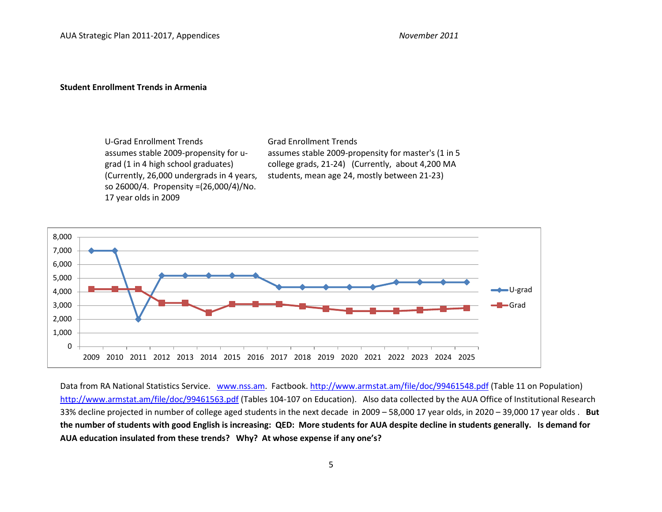#### **Student Enrollment Trends in Armenia**

U-Grad Enrollment Trends Grad Enrollment Trends assumes stable 2009-propensity for ugrad (1 in 4 high school graduates) (Currently, 26,000 undergrads in 4 years, so 26000/4. Propensity =(26,000/4)/No. 17 year olds in 2009

assumes stable 2009-propensity for master's (1 in 5 college grads, 21-24) (Currently, about 4,200 MA students, mean age 24, mostly between 21-23)



Data from RA National Statistics Service. [www.nss.am.](http://www.nss.am/) Factbook.<http://www.armstat.am/file/doc/99461548.pdf> (Table 11 on Population) <http://www.armstat.am/file/doc/99461563.pdf> (Tables 104-107 on Education). Also data collected by the AUA Office of Institutional Research 33% decline projected in number of college aged students in the next decade in 2009 – 58,000 17 year olds, in 2020 – 39,000 17 year olds . **But the number of students with good English is increasing: QED: More students for AUA despite decline in students generally. Is demand for AUA education insulated from these trends? Why? At whose expense if any one's?**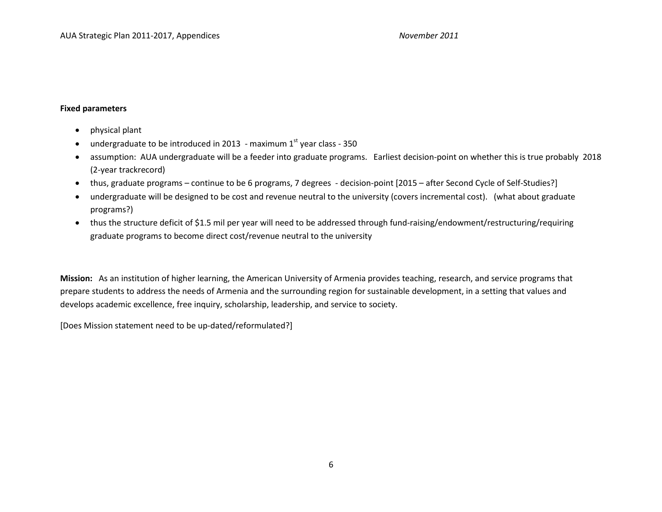#### **Fixed parameters**

- physical plant
- undergraduate to be introduced in 2013 maximum  $1<sup>st</sup>$  year class 350
- assumption: AUA undergraduate will be a feeder into graduate programs. Earliest decision-point on whether this is true probably 2018 (2-year trackrecord)
- thus, graduate programs continue to be 6 programs, 7 degrees decision-point [2015 after Second Cycle of Self-Studies?]
- undergraduate will be designed to be cost and revenue neutral to the university (covers incremental cost). (what about graduate programs?)
- thus the structure deficit of \$1.5 mil per year will need to be addressed through fund-raising/endowment/restructuring/requiring graduate programs to become direct cost/revenue neutral to the university

**Mission:** As an institution of higher learning, the American University of Armenia provides teaching, research, and service programs that prepare students to address the needs of Armenia and the surrounding region for sustainable development, in a setting that values and develops academic excellence, free inquiry, scholarship, leadership, and service to society.

[Does Mission statement need to be up-dated/reformulated?]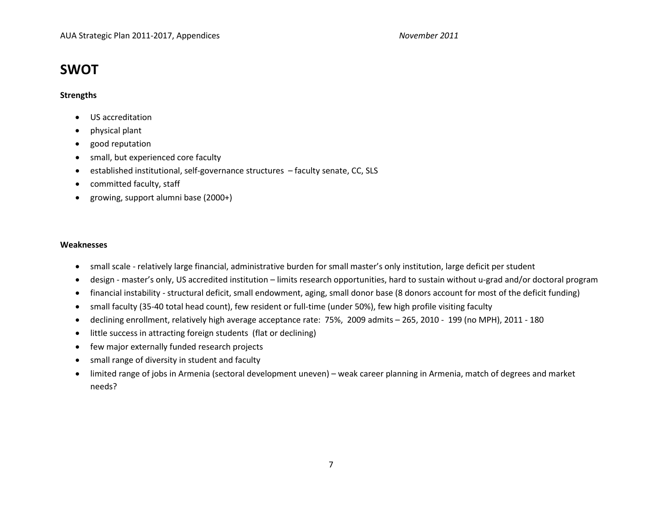# **SWOT**

#### **Strengths**

- US accreditation
- physical plant
- good reputation
- small, but experienced core faculty
- established institutional, self-governance structures faculty senate, CC, SLS
- committed faculty, staff
- growing, support alumni base (2000+)

#### **Weaknesses**

- small scale relatively large financial, administrative burden for small master's only institution, large deficit per student
- design master's only, US accredited institution limits research opportunities, hard to sustain without u-grad and/or doctoral program
- financial instability structural deficit, small endowment, aging, small donor base (8 donors account for most of the deficit funding)
- small faculty (35-40 total head count), few resident or full-time (under 50%), few high profile visiting faculty
- declining enrollment, relatively high average acceptance rate: 75%, 2009 admits 265, 2010 199 (no MPH), 2011 180
- little success in attracting foreign students (flat or declining)
- few major externally funded research projects
- small range of diversity in student and faculty
- limited range of jobs in Armenia (sectoral development uneven) weak career planning in Armenia, match of degrees and market needs?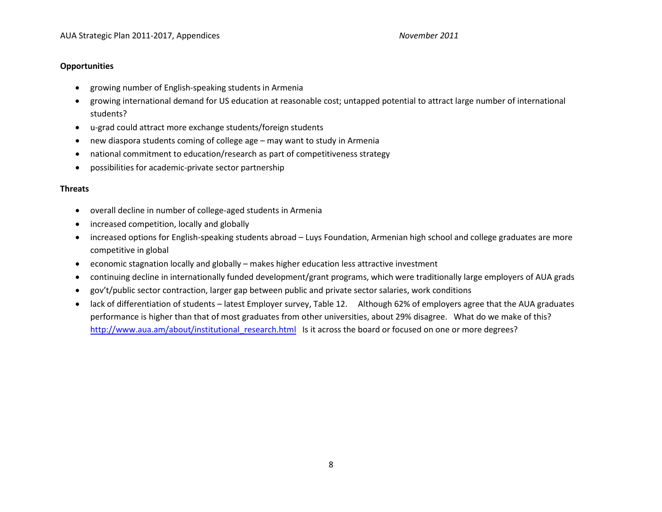#### **Opportunities**

- growing number of English-speaking students in Armenia
- growing international demand for US education at reasonable cost; untapped potential to attract large number of international students?
- u-grad could attract more exchange students/foreign students
- new diaspora students coming of college age may want to study in Armenia
- national commitment to education/research as part of competitiveness strategy
- possibilities for academic-private sector partnership

#### **Threats**

- overall decline in number of college-aged students in Armenia
- increased competition, locally and globally
- increased options for English-speaking students abroad Luys Foundation, Armenian high school and college graduates are more competitive in global
- economic stagnation locally and globally makes higher education less attractive investment
- continuing decline in internationally funded development/grant programs, which were traditionally large employers of AUA grads
- gov't/public sector contraction, larger gap between public and private sector salaries, work conditions
- lack of differentiation of students latest Employer survey, Table 12. Although 62% of employers agree that the AUA graduates performance is higher than that of most graduates from other universities, about 29% disagree. What do we make of this? [http://www.aua.am/about/institutional\\_research.html](http://www.aua.am/about/institutional_research.html) Is it across the board or focused on one or more degrees?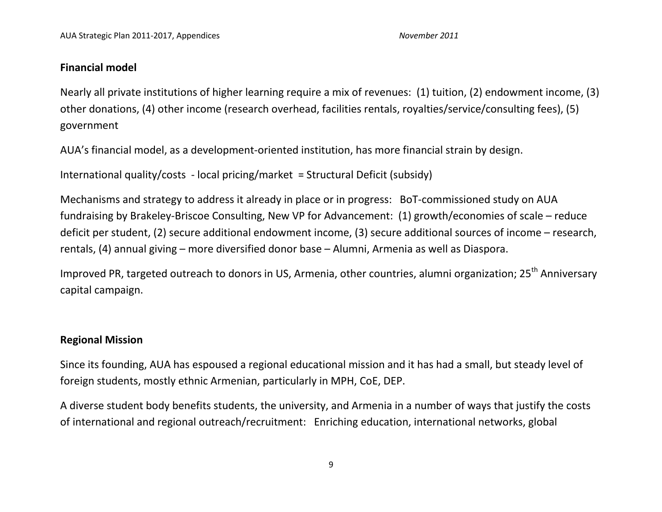# **Financial model**

Nearly all private institutions of higher learning require a mix of revenues: (1) tuition, (2) endowment income, (3) other donations, (4) other income (research overhead, facilities rentals, royalties/service/consulting fees), (5) government

AUA's financial model, as a development-oriented institution, has more financial strain by design.

International quality/costs - local pricing/market = Structural Deficit (subsidy)

Mechanisms and strategy to address it already in place or in progress: BoT-commissioned study on AUA fundraising by Brakeley-Briscoe Consulting, New VP for Advancement: (1) growth/economies of scale – reduce deficit per student, (2) secure additional endowment income, (3) secure additional sources of income – research, rentals, (4) annual giving – more diversified donor base – Alumni, Armenia as well as Diaspora.

Improved PR, targeted outreach to donors in US, Armenia, other countries, alumni organization; 25<sup>th</sup> Anniversary capital campaign.

# **Regional Mission**

Since its founding, AUA has espoused a regional educational mission and it has had a small, but steady level of foreign students, mostly ethnic Armenian, particularly in MPH, CoE, DEP.

A diverse student body benefits students, the university, and Armenia in a number of ways that justify the costs of international and regional outreach/recruitment: Enriching education, international networks, global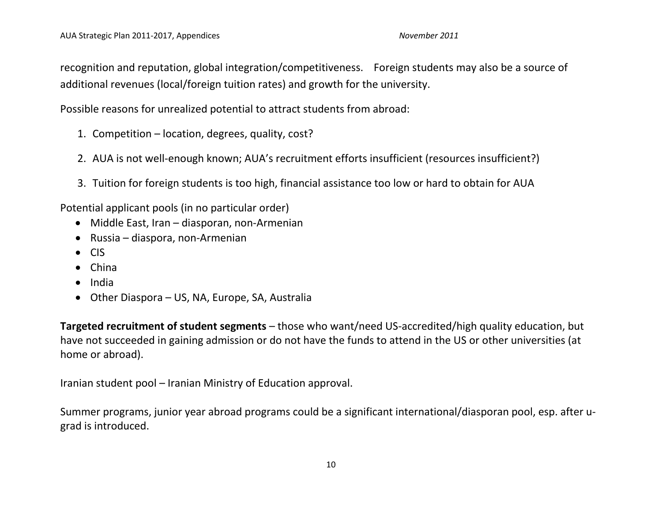recognition and reputation, global integration/competitiveness. Foreign students may also be a source of additional revenues (local/foreign tuition rates) and growth for the university.

Possible reasons for unrealized potential to attract students from abroad:

- 1. Competition location, degrees, quality, cost?
- 2. AUA is not well-enough known; AUA's recruitment efforts insufficient (resources insufficient?)
- 3. Tuition for foreign students is too high, financial assistance too low or hard to obtain for AUA

Potential applicant pools (in no particular order)

- Middle East, Iran diasporan, non-Armenian
- Russia diaspora, non-Armenian
- CIS
- China
- India
- Other Diaspora US, NA, Europe, SA, Australia

**Targeted recruitment of student segments** – those who want/need US-accredited/high quality education, but have not succeeded in gaining admission or do not have the funds to attend in the US or other universities (at home or abroad).

Iranian student pool – Iranian Ministry of Education approval.

Summer programs, junior year abroad programs could be a significant international/diasporan pool, esp. after ugrad is introduced.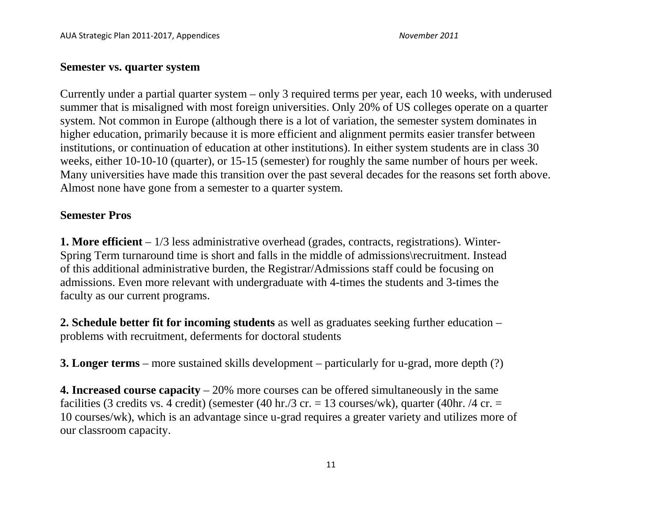## **Semester vs. quarter system**

Currently under a partial quarter system – only 3 required terms per year, each 10 weeks, with underused summer that is misaligned with most foreign universities. Only 20% of US colleges operate on a quarter system. Not common in Europe (although there is a lot of variation, the semester system dominates in higher education, primarily because it is more efficient and alignment permits easier transfer between institutions, or continuation of education at other institutions). In either system students are in class 30 weeks, either 10-10-10 (quarter), or 15-15 (semester) for roughly the same number of hours per week. Many universities have made this transition over the past several decades for the reasons set forth above. Almost none have gone from a semester to a quarter system.

# **Semester Pros**

**1. More efficient** – 1/3 less administrative overhead (grades, contracts, registrations). Winter-Spring Term turnaround time is short and falls in the middle of admissions\recruitment. Instead of this additional administrative burden, the Registrar/Admissions staff could be focusing on admissions. Even more relevant with undergraduate with 4-times the students and 3-times the faculty as our current programs.

**2. Schedule better fit for incoming students** as well as graduates seeking further education – problems with recruitment, deferments for doctoral students

**3. Longer terms** – more sustained skills development – particularly for u-grad, more depth (?)

**4. Increased course capacity** – 20% more courses can be offered simultaneously in the same facilities (3 credits vs. 4 credit) (semester (40 hr./3 cr. = 13 courses/wk), quarter (40 hr. /4 cr. = 10 courses/wk), which is an advantage since u-grad requires a greater variety and utilizes more of our classroom capacity.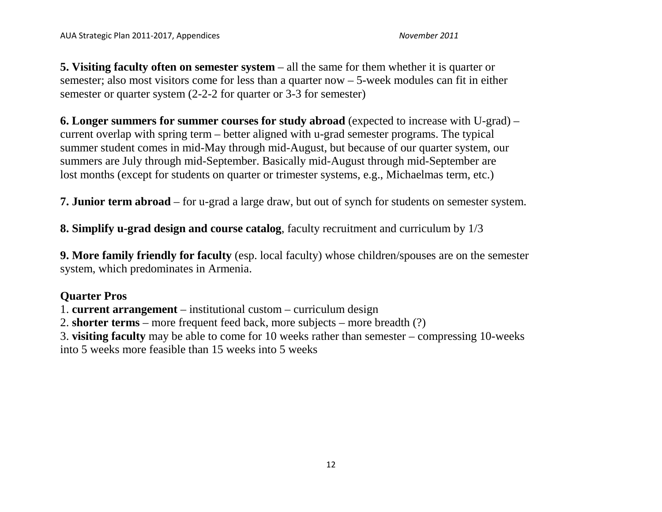**5. Visiting faculty often on semester system** – all the same for them whether it is quarter or semester; also most visitors come for less than a quarter now – 5-week modules can fit in either semester or quarter system (2-2-2 for quarter or 3-3 for semester)

**6. Longer summers for summer courses for study abroad** (expected to increase with U-grad) – current overlap with spring term – better aligned with u-grad semester programs. The typical summer student comes in mid-May through mid-August, but because of our quarter system, our summers are July through mid-September. Basically mid-August through mid-September are lost months (except for students on quarter or trimester systems, e.g., Michaelmas term, etc.)

**7. Junior term abroad** – for u-grad a large draw, but out of synch for students on semester system.

**8. Simplify u-grad design and course catalog**, faculty recruitment and curriculum by 1/3

**9. More family friendly for faculty** (esp. local faculty) whose children/spouses are on the semester system, which predominates in Armenia.

# **Quarter Pros**

1. **current arrangement** – institutional custom – curriculum design

2. **shorter terms** – more frequent feed back, more subjects – more breadth (?)

3. **visiting faculty** may be able to come for 10 weeks rather than semester – compressing 10-weeks

into 5 weeks more feasible than 15 weeks into 5 weeks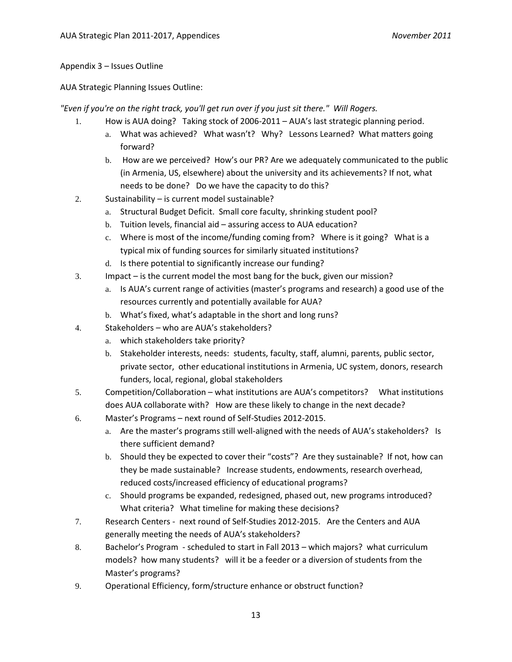#### Appendix 3 – Issues Outline

AUA Strategic Planning Issues Outline:

*"Even if you're on the right track, you'll get run over if you just sit there." Will Rogers.*

- 1. How is AUA doing? Taking stock of 2006-2011 AUA's last strategic planning period.
	- a. What was achieved? What wasn't? Why? Lessons Learned? What matters going forward?
	- b. How are we perceived? How's our PR? Are we adequately communicated to the public (in Armenia, US, elsewhere) about the university and its achievements? If not, what needs to be done? Do we have the capacity to do this?
- 2. Sustainability is current model sustainable?
	- a. Structural Budget Deficit. Small core faculty, shrinking student pool?
	- b. Tuition levels, financial aid assuring access to AUA education?
	- c. Where is most of the income/funding coming from? Where is it going? What is a typical mix of funding sources for similarly situated institutions?
	- d. Is there potential to significantly increase our funding?
- 3. Impact is the current model the most bang for the buck, given our mission?
	- a. Is AUA's current range of activities (master's programs and research) a good use of the resources currently and potentially available for AUA?
	- b. What's fixed, what's adaptable in the short and long runs?
- 4. Stakeholders who are AUA's stakeholders?
	- a. which stakeholders take priority?
	- b. Stakeholder interests, needs: students, faculty, staff, alumni, parents, public sector, private sector, other educational institutions in Armenia, UC system, donors, research funders, local, regional, global stakeholders
- 5. Competition/Collaboration what institutions are AUA's competitors? What institutions does AUA collaborate with? How are these likely to change in the next decade?
- 6. Master's Programs next round of Self-Studies 2012-2015.
	- a. Are the master's programs still well-aligned with the needs of AUA's stakeholders? Is there sufficient demand?
	- b. Should they be expected to cover their "costs"? Are they sustainable? If not, how can they be made sustainable? Increase students, endowments, research overhead, reduced costs/increased efficiency of educational programs?
	- c. Should programs be expanded, redesigned, phased out, new programs introduced? What criteria? What timeline for making these decisions?
- 7. Research Centers next round of Self-Studies 2012-2015. Are the Centers and AUA generally meeting the needs of AUA's stakeholders?
- 8. Bachelor's Program scheduled to start in Fall 2013 which majors? what curriculum models? how many students? will it be a feeder or a diversion of students from the Master's programs?
- 9. Operational Efficiency, form/structure enhance or obstruct function?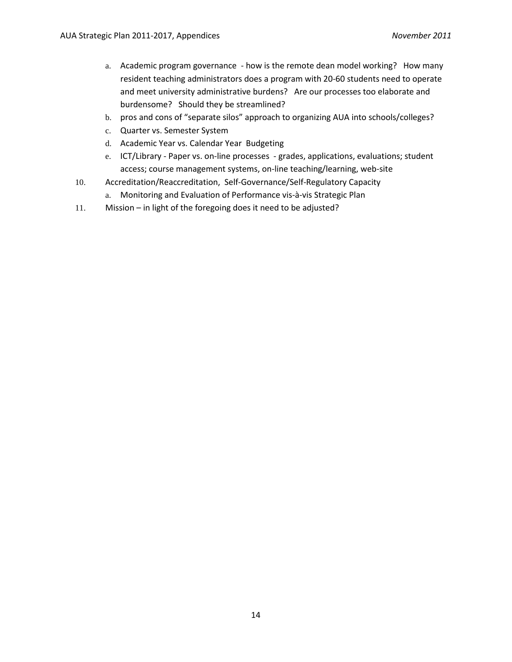- a. Academic program governance how is the remote dean model working? How many resident teaching administrators does a program with 20-60 students need to operate and meet university administrative burdens? Are our processes too elaborate and burdensome? Should they be streamlined?
- b. pros and cons of "separate silos" approach to organizing AUA into schools/colleges?
- c. Quarter vs. Semester System
- d. Academic Year vs. Calendar Year Budgeting
- e. ICT/Library Paper vs. on-line processes grades, applications, evaluations; student access; course management systems, on-line teaching/learning, web-site
- 10. Accreditation/Reaccreditation, Self-Governance/Self-Regulatory Capacity
	- a. Monitoring and Evaluation of Performance vis-à-vis Strategic Plan
- 11. Mission in light of the foregoing does it need to be adjusted?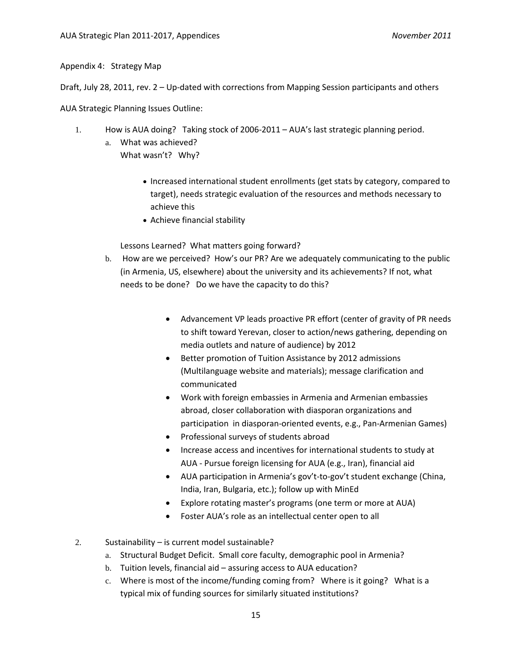Appendix 4: Strategy Map

Draft, July 28, 2011, rev. 2 – Up-dated with corrections from Mapping Session participants and others

AUA Strategic Planning Issues Outline:

- 1. How is AUA doing? Taking stock of 2006-2011 AUA's last strategic planning period.
	- a. What was achieved? What wasn't? Why?
		- Increased international student enrollments (get stats by category, compared to target), needs strategic evaluation of the resources and methods necessary to achieve this
		- Achieve financial stability

Lessons Learned? What matters going forward?

- b. How are we perceived? How's our PR? Are we adequately communicating to the public (in Armenia, US, elsewhere) about the university and its achievements? If not, what needs to be done? Do we have the capacity to do this?
	- Advancement VP leads proactive PR effort (center of gravity of PR needs to shift toward Yerevan, closer to action/news gathering, depending on media outlets and nature of audience) by 2012
	- Better promotion of Tuition Assistance by 2012 admissions (Multilanguage website and materials); message clarification and communicated
	- Work with foreign embassies in Armenia and Armenian embassies abroad, closer collaboration with diasporan organizations and participation in diasporan-oriented events, e.g., Pan-Armenian Games)
	- Professional surveys of students abroad
	- Increase access and incentives for international students to study at AUA - Pursue foreign licensing for AUA (e.g., Iran), financial aid
	- AUA participation in Armenia's gov't-to-gov't student exchange (China, India, Iran, Bulgaria, etc.); follow up with MinEd
	- Explore rotating master's programs (one term or more at AUA)
	- Foster AUA's role as an intellectual center open to all
- 2. Sustainability is current model sustainable?
	- a. Structural Budget Deficit. Small core faculty, demographic pool in Armenia?
	- b. Tuition levels, financial aid assuring access to AUA education?
	- c. Where is most of the income/funding coming from? Where is it going? What is a typical mix of funding sources for similarly situated institutions?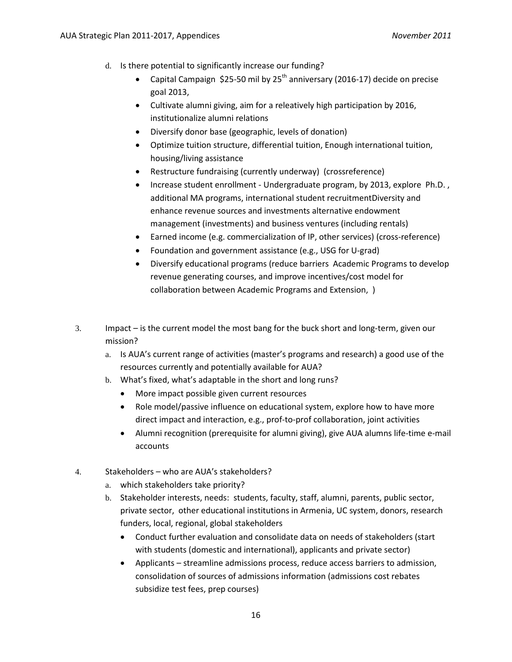- d. Is there potential to significantly increase our funding?
	- Capital Campaign \$25-50 mil by  $25<sup>th</sup>$  anniversary (2016-17) decide on precise goal 2013,
	- Cultivate alumni giving, aim for a releatively high participation by 2016, institutionalize alumni relations
	- Diversify donor base (geographic, levels of donation)
	- Optimize tuition structure, differential tuition, Enough international tuition, housing/living assistance
	- Restructure fundraising (currently underway) (crossreference)
	- Increase student enrollment Undergraduate program, by 2013, explore Ph.D. , additional MA programs, international student recruitmentDiversity and enhance revenue sources and investments alternative endowment management (investments) and business ventures (including rentals)
	- Earned income (e.g. commercialization of IP, other services) (cross-reference)
	- Foundation and government assistance (e.g., USG for U-grad)
	- Diversify educational programs (reduce barriers Academic Programs to develop revenue generating courses, and improve incentives/cost model for collaboration between Academic Programs and Extension, )
- 3. Impact is the current model the most bang for the buck short and long-term, given our mission?
	- a. Is AUA's current range of activities (master's programs and research) a good use of the resources currently and potentially available for AUA?
	- b. What's fixed, what's adaptable in the short and long runs?
		- More impact possible given current resources
		- Role model/passive influence on educational system, explore how to have more direct impact and interaction, e.g., prof-to-prof collaboration, joint activities
		- Alumni recognition (prerequisite for alumni giving), give AUA alumns life-time e-mail accounts
- 4. Stakeholders who are AUA's stakeholders?
	- a. which stakeholders take priority?
	- b. Stakeholder interests, needs: students, faculty, staff, alumni, parents, public sector, private sector, other educational institutions in Armenia, UC system, donors, research funders, local, regional, global stakeholders
		- Conduct further evaluation and consolidate data on needs of stakeholders (start with students (domestic and international), applicants and private sector)
		- Applicants streamline admissions process, reduce access barriers to admission, consolidation of sources of admissions information (admissions cost rebates subsidize test fees, prep courses)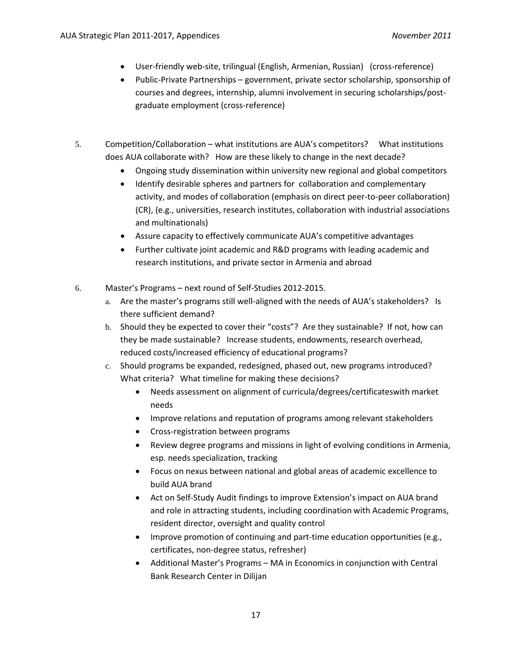- User-friendly web-site, trilingual (English, Armenian, Russian) (cross-reference)
- Public-Private Partnerships government, private sector scholarship, sponsorship of courses and degrees, internship, alumni involvement in securing scholarships/postgraduate employment (cross-reference)
- 5. Competition/Collaboration what institutions are AUA's competitors? What institutions does AUA collaborate with? How are these likely to change in the next decade?
	- Ongoing study dissemination within university new regional and global competitors
	- Identify desirable spheres and partners for collaboration and complementary activity, and modes of collaboration (emphasis on direct peer-to-peer collaboration) (CR), (e.g., universities, research institutes, collaboration with industrial associations and multinationals)
	- Assure capacity to effectively communicate AUA's competitive advantages
	- Further cultivate joint academic and R&D programs with leading academic and research institutions, and private sector in Armenia and abroad
- 6. Master's Programs next round of Self-Studies 2012-2015.
	- a. Are the master's programs still well-aligned with the needs of AUA's stakeholders? Is there sufficient demand?
	- b. Should they be expected to cover their "costs"? Are they sustainable? If not, how can they be made sustainable? Increase students, endowments, research overhead, reduced costs/increased efficiency of educational programs?
	- c. Should programs be expanded, redesigned, phased out, new programs introduced? What criteria? What timeline for making these decisions?
		- Needs assessment on alignment of curricula/degrees/certificateswith market needs
		- Improve relations and reputation of programs among relevant stakeholders
		- Cross-registration between programs
		- Review degree programs and missions in light of evolving conditions in Armenia, esp. needs specialization, tracking
		- Focus on nexus between national and global areas of academic excellence to build AUA brand
		- Act on Self-Study Audit findings to improve Extension's impact on AUA brand and role in attracting students, including coordination with Academic Programs, resident director, oversight and quality control
		- Improve promotion of continuing and part-time education opportunities (e.g., certificates, non-degree status, refresher)
		- Additional Master's Programs MA in Economics in conjunction with Central Bank Research Center in Dilijan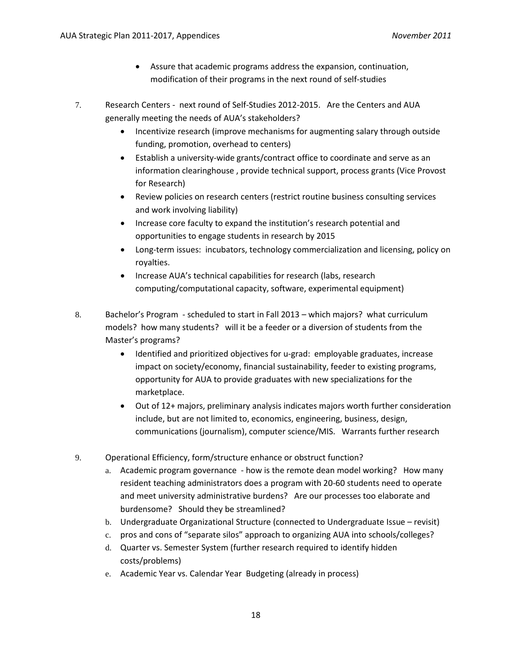- Assure that academic programs address the expansion, continuation, modification of their programs in the next round of self-studies
- 7. Research Centers next round of Self-Studies 2012-2015. Are the Centers and AUA generally meeting the needs of AUA's stakeholders?
	- Incentivize research (improve mechanisms for augmenting salary through outside funding, promotion, overhead to centers)
	- Establish a university-wide grants/contract office to coordinate and serve as an information clearinghouse , provide technical support, process grants (Vice Provost for Research)
	- Review policies on research centers (restrict routine business consulting services and work involving liability)
	- Increase core faculty to expand the institution's research potential and opportunities to engage students in research by 2015
	- Long-term issues: incubators, technology commercialization and licensing, policy on royalties.
	- Increase AUA's technical capabilities for research (labs, research computing/computational capacity, software, experimental equipment)
- 8. Bachelor's Program scheduled to start in Fall 2013 which majors? what curriculum models? how many students? will it be a feeder or a diversion of students from the Master's programs?
	- Identified and prioritized objectives for u-grad: employable graduates, increase impact on society/economy, financial sustainability, feeder to existing programs, opportunity for AUA to provide graduates with new specializations for the marketplace.
	- Out of 12+ majors, preliminary analysis indicates majors worth further consideration include, but are not limited to, economics, engineering, business, design, communications (journalism), computer science/MIS. Warrants further research
- 9. Operational Efficiency, form/structure enhance or obstruct function?
	- a. Academic program governance how is the remote dean model working? How many resident teaching administrators does a program with 20-60 students need to operate and meet university administrative burdens? Are our processes too elaborate and burdensome? Should they be streamlined?
	- b. Undergraduate Organizational Structure (connected to Undergraduate Issue revisit)
	- c. pros and cons of "separate silos" approach to organizing AUA into schools/colleges?
	- d. Quarter vs. Semester System (further research required to identify hidden costs/problems)
	- e. Academic Year vs. Calendar Year Budgeting (already in process)